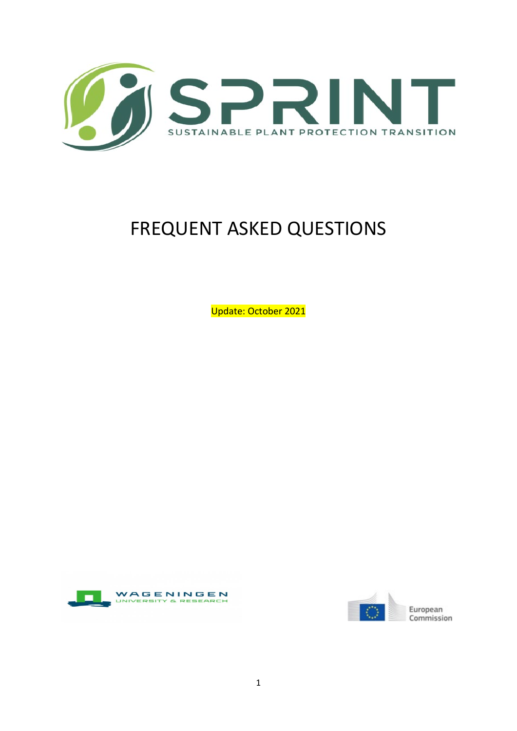

# FREQUENT ASKED QUESTIONS

Update: October 2021



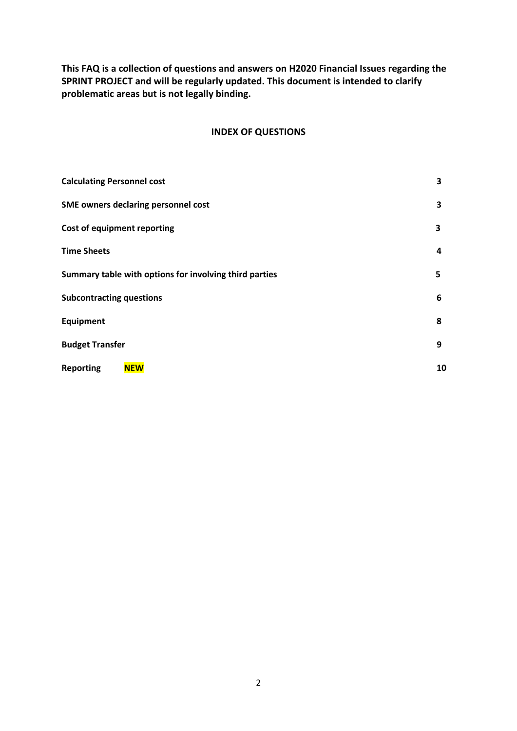**This FAQ is a collection of questions and answers on H2020 Financial Issues regarding the SPRINT PROJECT and will be regularly updated. This document is intended to clarify problematic areas but is not legally binding.** 

# **INDEX OF QUESTIONS**

| <b>Calculating Personnel cost</b>                      | 3  |
|--------------------------------------------------------|----|
| SME owners declaring personnel cost                    | 3  |
| Cost of equipment reporting                            | 3  |
| <b>Time Sheets</b>                                     | 4  |
| Summary table with options for involving third parties | 5  |
| <b>Subcontracting questions</b>                        | 6  |
| Equipment                                              | 8  |
| <b>Budget Transfer</b>                                 | 9  |
| <b>Reporting</b><br><b>NEW</b>                         | 10 |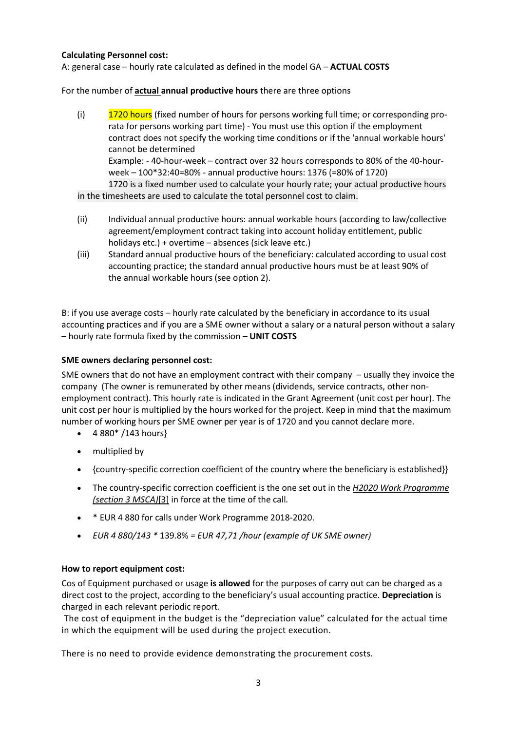# **Calculating Personnel cost:**

A: general case – hourly rate calculated as defined in the model GA – **ACTUAL COSTS**

For the number of **actual annual productive hours** there are three options

(i) 1720 hours (fixed number of hours for persons working full time; or corresponding prorata for persons working part time) - You must use this option if the employment contract does not specify the working time conditions or if the 'annual workable hours' cannot be determined Example: - 40-hour-week – contract over 32 hours corresponds to 80% of the 40-hourweek – 100\*32:40=80% - annual productive hours: 1376 (=80% of 1720) 1720 is a fixed number used to calculate your hourly rate; your actual productive hours

in the timesheets are used to calculate the total personnel cost to claim.

- (ii) Individual annual productive hours: annual workable hours (according to law/collective agreement/employment contract taking into account holiday entitlement, public holidays etc.) + overtime – absences (sick leave etc.)
- (iii) Standard annual productive hours of the beneficiary: calculated according to usual cost accounting practice; the standard annual productive hours must be at least 90% of the annual workable hours (see option 2).

B: if you use average costs – hourly rate calculated by the beneficiary in accordance to its usual accounting practices and if you are a SME owner without a salary or a natural person without a salary – hourly rate formula fixed by the commission – **UNIT COSTS**

# **SME owners declaring personnel cost:**

SME owners that do not have an employment contract with their company – usually they invoice the company (The owner is remunerated by other means (dividends, service contracts, other nonemployment contract). This hourly rate is indicated in the Grant Agreement (unit cost per hour). The unit cost per hour is multiplied by the hours worked for the project. Keep in mind that the maximum number of working hours per SME owner per year is of 1720 and you cannot declare more.

- $\bullet$  4 880\* /143 hours}
- multiplied by
- {country-specific correction coefficient of the country where the beneficiary is established}}
- The country-specific correction coefficient is the one set out in the *[H2020 Work Programme](https://eur03.safelinks.protection.outlook.com/?url=http%3A%2F%2Fec.europa.eu%2Fresearch%2Fparticipants%2Fportal%2Fdesktop%2Fen%2Ffunding%2Freference_docs.html&data=04%7C01%7Cliaisonoffice.esg%40wur.nl%7C813698d8b8544beade2c08d8d8e3c737%7C27d137e5761f4dc1af88d26430abb18f%7C0%7C0%7C637497820099771017%7CUnknown%7CTWFpbGZsb3d8eyJWIjoiMC4wLjAwMDAiLCJQIjoiV2luMzIiLCJBTiI6Ik1haWwiLCJXVCI6Mn0%3D%7C1000&sdata=bB91A3sPgkfw68S6cijzPv7ByxCASDbfqb9XypUnYXA%3D&reserved=0)  [\(section 3 MSCA\)](https://eur03.safelinks.protection.outlook.com/?url=http%3A%2F%2Fec.europa.eu%2Fresearch%2Fparticipants%2Fportal%2Fdesktop%2Fen%2Ffunding%2Freference_docs.html&data=04%7C01%7Cliaisonoffice.esg%40wur.nl%7C813698d8b8544beade2c08d8d8e3c737%7C27d137e5761f4dc1af88d26430abb18f%7C0%7C0%7C637497820099771017%7CUnknown%7CTWFpbGZsb3d8eyJWIjoiMC4wLjAwMDAiLCJQIjoiV2luMzIiLCJBTiI6Ik1haWwiLCJXVCI6Mn0%3D%7C1000&sdata=bB91A3sPgkfw68S6cijzPv7ByxCASDbfqb9XypUnYXA%3D&reserved=0)*[\[3\]](https://eur03.safelinks.protection.outlook.com/?url=https%3A%2F%2Fwebgate.ec.testa.eu%2Fresearch%2Fppcm%2F%23_ftn3&data=04%7C01%7Cliaisonoffice.esg%40wur.nl%7C813698d8b8544beade2c08d8d8e3c737%7C27d137e5761f4dc1af88d26430abb18f%7C0%7C0%7C637497820099771017%7CUnknown%7CTWFpbGZsb3d8eyJWIjoiMC4wLjAwMDAiLCJQIjoiV2luMzIiLCJBTiI6Ik1haWwiLCJXVCI6Mn0%3D%7C1000&sdata=0W58lupQ55t7J%2BIbICj1W8%2FAZN%2BTcYL1AsqCupseHCY%3D&reserved=0) in force at the time of the call*.*
- \* EUR 4 880 for calls under Work Programme 2018-2020.
- *EUR 4 880/143 \** 139.8% *= EUR 47,71 /hour (example of UK SME owner)*

# **How to report equipment cost:**

Cos of Equipment purchased or usage **is allowed** for the purposes of carry out can be charged as a direct cost to the project, according to the beneficiary's usual accounting practice. **Depreciation** is charged in each relevant periodic report.

The cost of equipment in the budget is the "depreciation value" calculated for the actual time in which the equipment will be used during the project execution.

There is no need to provide evidence demonstrating the procurement costs.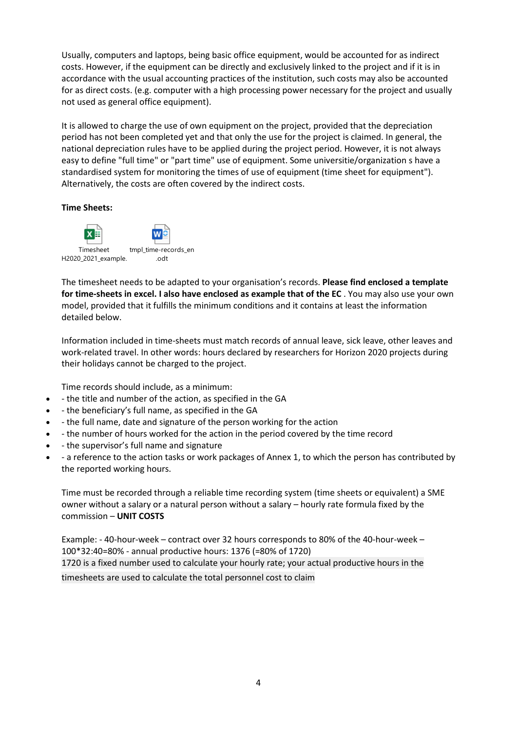Usually, computers and laptops, being basic office equipment, would be accounted for as indirect costs. However, if the equipment can be directly and exclusively linked to the project and if it is in accordance with the usual accounting practices of the institution, such costs may also be accounted for as direct costs. (e.g. computer with a high processing power necessary for the project and usually not used as general office equipment).

It is allowed to charge the use of own equipment on the project, provided that the depreciation period has not been completed yet and that only the use for the project is claimed. In general, the national depreciation rules have to be applied during the project period. However, it is not always easy to define "full time" or "part time" use of equipment. Some universitie/organization s have a standardised system for monitoring the times of use of equipment (time sheet for equipment"). Alternatively, the costs are often covered by the indirect costs.

# **Time Sheets:**



The timesheet needs to be adapted to your organisation's records. **Please find enclosed a template for time-sheets in excel. I also have enclosed as example that of the EC** . You may also use your own model, provided that it fulfills the minimum conditions and it contains at least the information detailed below.

Information included in time-sheets must match records of annual leave, sick leave, other leaves and work-related travel. In other words: hours declared by researchers for Horizon 2020 projects during their holidays cannot be charged to the project.

Time records should include, as a minimum:

- - the title and number of the action, as specified in the GA
- - the beneficiary's full name, as specified in the GA
- - the full name, date and signature of the person working for the action
- - the number of hours worked for the action in the period covered by the time record
- - the supervisor's full name and signature
- - a reference to the action tasks or work packages of Annex 1, to which the person has contributed by the reported working hours.

Time must be recorded through a reliable time recording system (time sheets or equivalent) a SME owner without a salary or a natural person without a salary – hourly rate formula fixed by the commission – **UNIT COSTS**

Example: - 40-hour-week – contract over 32 hours corresponds to 80% of the 40-hour-week – 100\*32:40=80% - annual productive hours: 1376 (=80% of 1720) 1720 is a fixed number used to calculate your hourly rate; your actual productive hours in the timesheets are used to calculate the total personnel cost to claim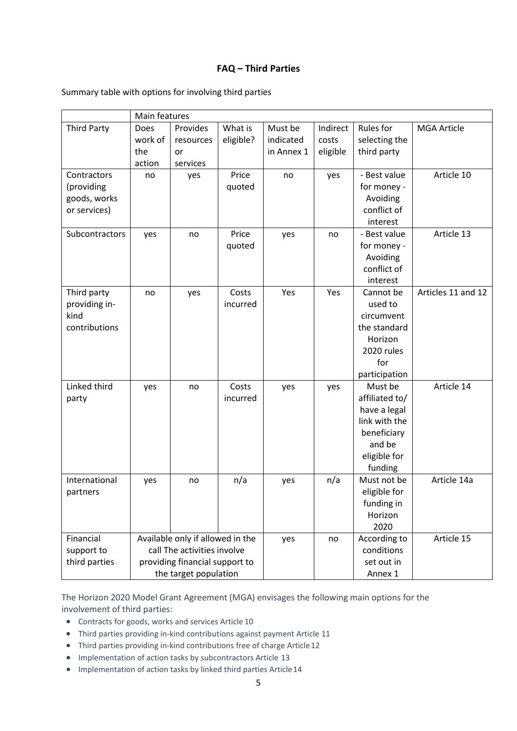# **FAQ – Third Parties**

|  |  | Summary table with options for involving third parties |  |
|--|--|--------------------------------------------------------|--|
|  |  |                                                        |  |

|                    | Main features                    |           |           |            |            |                |                    |
|--------------------|----------------------------------|-----------|-----------|------------|------------|----------------|--------------------|
| <b>Third Party</b> | Does                             | Provides  | What is   | Must be    | Indirect   | Rules for      | <b>MGA Article</b> |
|                    | work of                          | resources | eligible? | indicated  | costs      | selecting the  |                    |
|                    | the                              | or        |           | in Annex 1 | eligible   | third party    |                    |
|                    | action                           | services  |           |            |            |                |                    |
| Contractors        | no                               | yes       | Price     | no         | yes        | - Best value   | Article 10         |
| (providing         |                                  |           | quoted    |            |            | for money -    |                    |
| goods, works       |                                  |           |           |            |            | Avoiding       |                    |
| or services)       |                                  |           |           |            |            | conflict of    |                    |
|                    |                                  |           |           |            |            | interest       |                    |
| Subcontractors     | yes                              | no        | Price     | yes        | no         | - Best value   | Article 13         |
|                    |                                  |           | quoted    |            |            | for money -    |                    |
|                    |                                  |           |           |            |            | Avoiding       |                    |
|                    |                                  |           |           |            |            | conflict of    |                    |
|                    |                                  |           |           |            |            | interest       |                    |
| Third party        | no                               | yes       | Costs     | Yes        | Yes        | Cannot be      | Articles 11 and 12 |
| providing in-      |                                  |           | incurred  |            |            | used to        |                    |
| kind               |                                  |           |           |            |            | circumvent     |                    |
| contributions      |                                  |           |           |            |            | the standard   |                    |
|                    |                                  |           |           |            |            | Horizon        |                    |
|                    |                                  |           |           |            |            | 2020 rules     |                    |
|                    |                                  |           |           |            |            | for            |                    |
|                    |                                  |           |           |            |            | participation  |                    |
| Linked third       | yes                              | no        | Costs     | yes        | yes        | Must be        | Article 14         |
| party              |                                  |           | incurred  |            |            | affiliated to/ |                    |
|                    |                                  |           |           |            |            | have a legal   |                    |
|                    |                                  |           |           |            |            | link with the  |                    |
|                    |                                  |           |           |            |            | beneficiary    |                    |
|                    |                                  |           |           |            |            | and be         |                    |
|                    |                                  |           |           |            |            | eligible for   |                    |
|                    |                                  |           |           |            |            | funding        |                    |
| International      | yes                              | no        | n/a       | yes        | n/a        | Must not be    | Article 14a        |
| partners           |                                  |           |           |            |            | eligible for   |                    |
|                    |                                  |           |           |            |            | funding in     |                    |
|                    |                                  |           |           |            |            | Horizon        |                    |
|                    |                                  |           |           |            |            | 2020           |                    |
| Financial          | Available only if allowed in the |           |           | yes        | no         | According to   | Article 15         |
| support to         | call The activities involve      |           |           |            | conditions |                |                    |
| third parties      | providing financial support to   |           |           |            | set out in |                |                    |
|                    | the target population            |           |           |            |            | Annex 1        |                    |

The Horizon 2020 Model Grant Agreement (MGA) envisages the following main options for the involvement of third parties:

- Contracts for goods, works and services Article 10
- Third parties providing in-kind contributions against payment Article 11
- Third parties providing in-kind contributions free of charge Article12
- Implementation of action tasks by subcontractors Article 13
- Implementation of action tasks by linked third parties Article14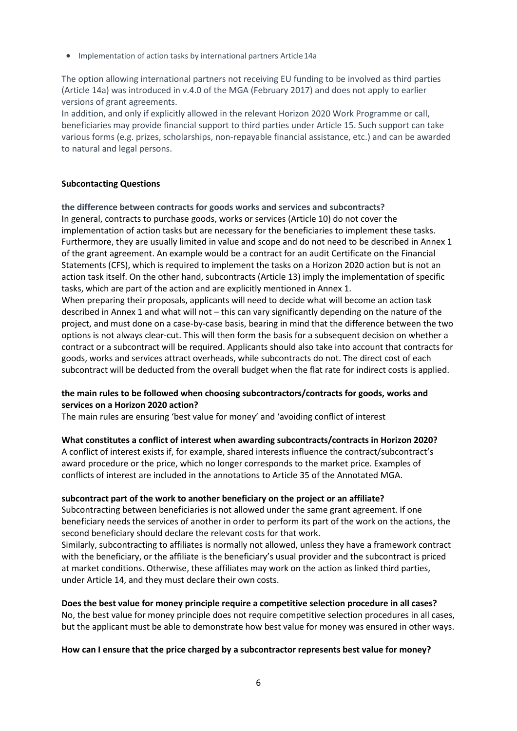• Implementation of action tasks by international partners Article14a

The option allowing international partners not receiving EU funding to be involved as third parties (Article 14a) was introduced in v.4.0 of the MGA (February 2017) and does not apply to earlier versions of grant agreements.

In addition, and only if explicitly allowed in the relevant Horizon 2020 Work Programme or call, beneficiaries may provide financial support to third parties under Article 15. Such support can take various forms (e.g. prizes, scholarships, non-repayable financial assistance, etc.) and can be awarded to natural and legal persons.

# **Subcontacting Questions**

# **the difference between contracts for goods works and services and subcontracts?**

In general, contracts to purchase goods, works or services (Article 10) do not cover the implementation of action tasks but are necessary for the beneficiaries to implement these tasks. Furthermore, they are usually limited in value and scope and do not need to be described in Annex 1 of the grant agreement. An example would be a contract for an audit Certificate on the Financial Statements (CFS), which is required to implement the tasks on a Horizon 2020 action but is not an action task itself. On the other hand, subcontracts (Article 13) imply the implementation of specific tasks, which are part of the action and are explicitly mentioned in Annex 1.

When preparing their proposals, applicants will need to decide what will become an action task described in Annex 1 and what will not – this can vary significantly depending on the nature of the project, and must done on a case-by-case basis, bearing in mind that the difference between the two options is not always clear-cut. This will then form the basis for a subsequent decision on whether a contract or a subcontract will be required. Applicants should also take into account that contracts for goods, works and services attract overheads, while subcontracts do not. The direct cost of each subcontract will be deducted from the overall budget when the flat rate for indirect costs is applied.

# **the main rules to be followed when choosing subcontractors/contracts for goods, works and services on a Horizon 2020 action?**

The main rules are ensuring 'best value for money' and 'avoiding conflict of interest

#### **What constitutes a conflict of interest when awarding subcontracts/contracts in Horizon 2020?**

A conflict of interest exists if, for example, shared interests influence the contract/subcontract's award procedure or the price, which no longer corresponds to the market price. Examples of conflicts of interest are included in the annotations to Article 35 of the Annotated MGA.

#### **subcontract part of the work to another beneficiary on the project or an affiliate?**

Subcontracting between beneficiaries is not allowed under the same grant agreement. If one beneficiary needs the services of another in order to perform its part of the work on the actions, the second beneficiary should declare the relevant costs for that work.

Similarly, subcontracting to affiliates is normally not allowed, unless they have a framework contract with the beneficiary, or the affiliate is the beneficiary's usual provider and the subcontract is priced at market conditions. Otherwise, these affiliates may work on the action as linked third parties, under Article 14, and they must declare their own costs.

**Does the best value for money principle require a competitive selection procedure in all cases?**  No, the best value for money principle does not require competitive selection procedures in all cases, but the applicant must be able to demonstrate how best value for money was ensured in other ways.

#### **How can I ensure that the price charged by a subcontractor represents best value for money?**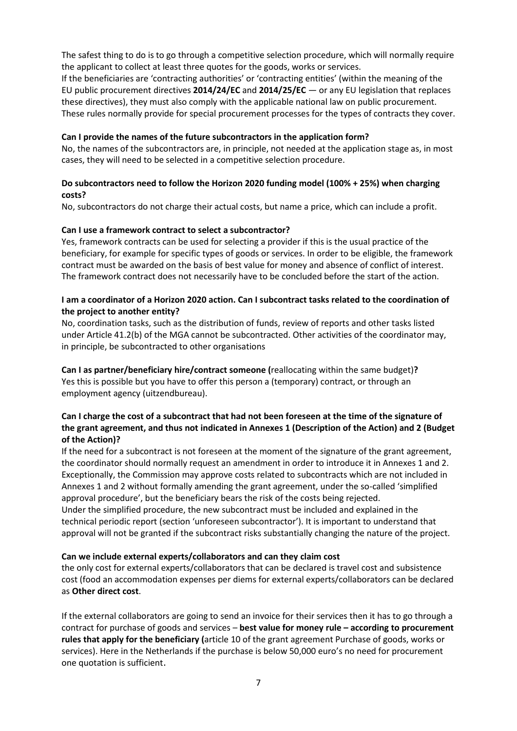The safest thing to do is to go through a competitive selection procedure, which will normally require the applicant to collect at least three quotes for the goods, works or services.

If the beneficiaries are 'contracting authorities' or 'contracting entities' (within the meaning of the EU public procurement directives **2014/24/EC** and **2014/25/EC** — or any EU legislation that replaces these directives), they must also comply with the applicable national law on public procurement. These rules normally provide for special procurement processes for the types of contracts they cover.

# **Can I provide the names of the future subcontractors in the application form?**

No, the names of the subcontractors are, in principle, not needed at the application stage as, in most cases, they will need to be selected in a competitive selection procedure.

# **Do subcontractors need to follow the Horizon 2020 funding model (100% + 25%) when charging costs?**

No, subcontractors do not charge their actual costs, but name a price, which can include a profit.

# **Can I use a framework contract to select a subcontractor?**

Yes, framework contracts can be used for selecting a provider if this is the usual practice of the beneficiary, for example for specific types of goods or services. In order to be eligible, the framework contract must be awarded on the basis of best value for money and absence of conflict of interest. The framework contract does not necessarily have to be concluded before the start of the action.

# **I am a coordinator of a Horizon 2020 action. Can I subcontract tasks related to the coordination of the project to another entity?**

No, coordination tasks, such as the distribution of funds, review of reports and other tasks listed under Article 41.2(b) of the MGA cannot be subcontracted. Other activities of the coordinator may, in principle, be subcontracted to other organisations

**Can I as partner/beneficiary hire/contract someone (**reallocating within the same budget)**?** Yes this is possible but you have to offer this person a (temporary) contract, or through an employment agency (uitzendbureau).

# **Can I charge the cost of a subcontract that had not been foreseen at the time of the signature of the grant agreement, and thus not indicated in Annexes 1 (Description of the Action) and 2 (Budget of the Action)?**

If the need for a subcontract is not foreseen at the moment of the signature of the grant agreement, the coordinator should normally request an amendment in order to introduce it in Annexes 1 and 2. Exceptionally, the Commission may approve costs related to subcontracts which are not included in Annexes 1 and 2 without formally amending the grant agreement, under the so-called 'simplified approval procedure', but the beneficiary bears the risk of the costs being rejected. Under the simplified procedure, the new subcontract must be included and explained in the technical periodic report (section 'unforeseen subcontractor'). It is important to understand that approval will not be granted if the subcontract risks substantially changing the nature of the project.

#### **Can we include external experts/collaborators and can they claim cost**

the only cost for external experts/collaborators that can be declared is travel cost and subsistence cost (food an accommodation expenses per diems for external experts/collaborators can be declared as **Other direct cost**.

If the external collaborators are going to send an invoice for their services then it has to go through a contract for purchase of goods and services – **best value for money rule – according to procurement rules that apply for the beneficiary (**article 10 of the grant agreement Purchase of goods, works or services). Here in the Netherlands if the purchase is below 50,000 euro's no need for procurement one quotation is sufficient.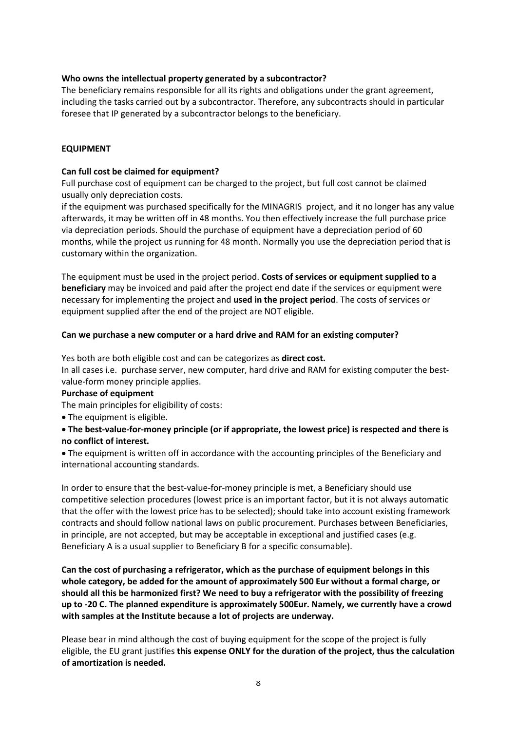# **Who owns the intellectual property generated by a subcontractor?**

The beneficiary remains responsible for all its rights and obligations under the grant agreement, including the tasks carried out by a subcontractor. Therefore, any subcontracts should in particular foresee that IP generated by a subcontractor belongs to the beneficiary.

# **EQUIPMENT**

#### **Can full cost be claimed for equipment?**

Full purchase cost of equipment can be charged to the project, but full cost cannot be claimed usually only depreciation costs.

if the equipment was purchased specifically for the MINAGRIS project, and it no longer has any value afterwards, it may be written off in 48 months. You then effectively increase the full purchase price via depreciation periods. Should the purchase of equipment have a depreciation period of 60 months, while the project us running for 48 month. Normally you use the depreciation period that is customary within the organization.

The equipment must be used in the project period. **Costs of services or equipment supplied to a beneficiary** may be invoiced and paid after the project end date if the services or equipment were necessary for implementing the project and **used in the project period**. The costs of services or equipment supplied after the end of the project are NOT eligible.

#### **Can we purchase a new computer or a hard drive and RAM for an existing computer?**

Yes both are both eligible cost and can be categorizes as **direct cost.**

In all cases i.e. purchase server, new computer, hard drive and RAM for existing computer the bestvalue-form money principle applies.

#### **Purchase of equipment**

The main principles for eligibility of costs:

• The equipment is eligible.

# • **The best-value-for-money principle (or if appropriate, the lowest price) is respected and there is no conflict of interest.**

• The equipment is written off in accordance with the accounting principles of the Beneficiary and international accounting standards.

In order to ensure that the best-value-for-money principle is met, a Beneficiary should use competitive selection procedures (lowest price is an important factor, but it is not always automatic that the offer with the lowest price has to be selected); should take into account existing framework contracts and should follow national laws on public procurement. Purchases between Beneficiaries, in principle, are not accepted, but may be acceptable in exceptional and justified cases (e.g. Beneficiary A is a usual supplier to Beneficiary B for a specific consumable).

**Can the cost of purchasing a refrigerator, which as the purchase of equipment belongs in this whole category, be added for the amount of approximately 500 Eur without a formal charge, or should all this be harmonized first? We need to buy a refrigerator with the possibility of freezing up to -20 C. The planned expenditure is approximately 500Eur. Namely, we currently have a crowd with samples at the Institute because a lot of projects are underway.**

Please bear in mind although the cost of buying equipment for the scope of the project is fully eligible, the EU grant justifies **this expense ONLY for the duration of the project, thus the calculation of amortization is needed.**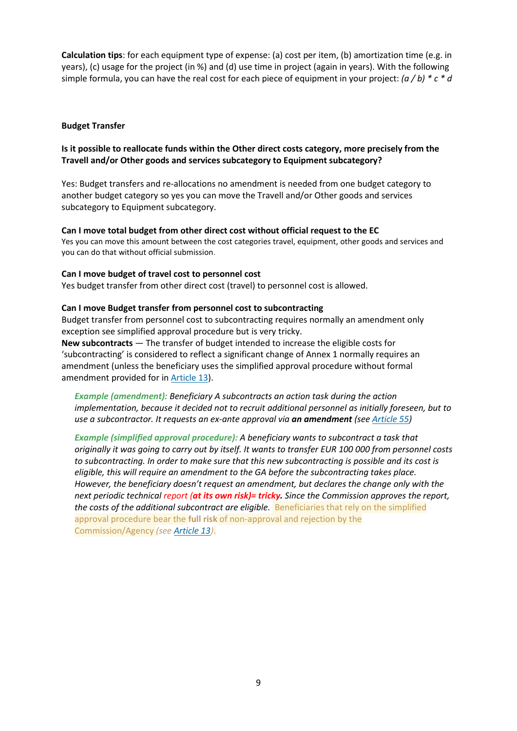**Calculation tips**: for each equipment type of expense: (a) cost per item, (b) amortization time (e.g. in years), (c) usage for the project (in %) and (d) use time in project (again in years). With the following simple formula, you can have the real cost for each piece of equipment in your project: *(a / b) \* c \* d*

#### **Budget Transfer**

# **Is it possible to reallocate funds within the Other direct costs category, more precisely from the Travell and/or Other goods and services subcategory to Equipment subcategory?**

Yes: Budget transfers and re-allocations no amendment is needed from one budget category to another budget category so yes you can move the Travell and/or Other goods and services subcategory to Equipment subcategory.

#### **Can I move total budget from other direct cost without official request to the EC**

Yes you can move this amount between the cost categories travel, equipment, other goods and services and you can do that without official submission.

#### **Can I move budget of travel cost to personnel cost**

Yes budget transfer from other direct cost (travel) to personnel cost is allowed.

#### **Can I move Budget transfer from personnel cost to subcontracting**

Budget transfer from personnel cost to subcontracting requires normally an amendment only exception see simplified approval procedure but is very tricky.

**New subcontracts** — The transfer of budget intended to increase the eligible costs for 'subcontracting' is considered to reflect a significant change of Annex 1 normally requires an amendment (unless the beneficiary uses the simplified approval procedure without formal amendment provided for in [Article 13\)](https://webgate.ec.europa.eu/funding-tenders/opportunities/content/article-13-%E2%80%94-implementation-action-tasks-subcontractors_en).

*Example (amendment): Beneficiary A subcontracts an action task during the action implementation, because it decided not to recruit additional personnel as initially foreseen, but to use a subcontractor. It requests an ex-ante approval via an amendment (see [Article 55\)](https://webgate.ec.europa.eu/funding-tenders/opportunities/content/article-55-%E2%80%94-amendments-agreement_en)*

*Example (simplified approval procedure): A beneficiary wants to subcontract a task that originally it was going to carry out by itself. It wants to transfer EUR 100 000 from personnel costs to subcontracting. In order to make sure that this new subcontracting is possible and its cost is eligible, this will require an amendment to the GA before the subcontracting takes place. However, the beneficiary doesn't request an amendment, but declares the change only with the next periodic technical report (at its own risk)= tricky. Since the Commission approves the report,*  the costs of the additional subcontract are eligible. Beneficiaries that rely on the simplified approval procedure bear the **full risk** of non-approval and rejection by the Commission/Agency *(see [Article 13\)](https://webgate.ec.europa.eu/funding-tenders/opportunities/content/article-13-%E2%80%94-implementation-action-tasks-subcontractors_en)*.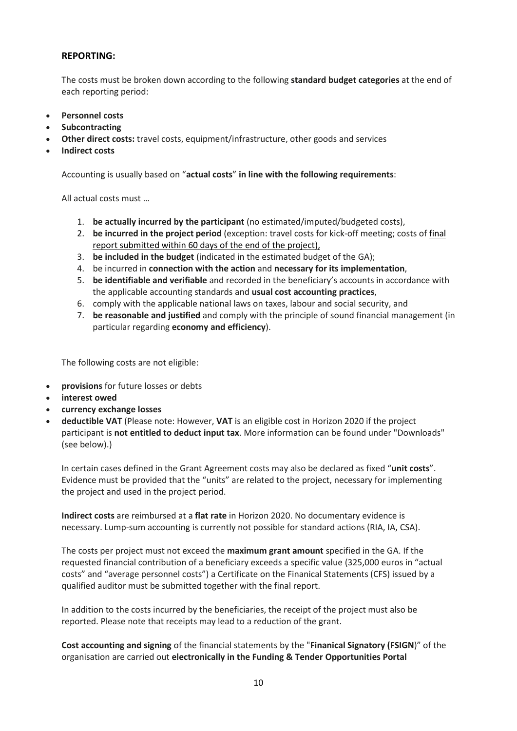# **REPORTING:**

The costs must be broken down according to the following **standard budget categories** at the end of each reporting period:

- **[Personnel costs](https://eur03.safelinks.protection.outlook.com/?url=https%3A%2F%2Fwww.ffg.at%2Fen%2Fnode%2F31490&data=04%7C01%7Celizabeth.rijksen%40wur.nl%7C5a0c77b12a8a4d7bc6d908d993a5faf0%7C27d137e5761f4dc1af88d26430abb18f%7C0%7C0%7C637703163347401292%7CUnknown%7CTWFpbGZsb3d8eyJWIjoiMC4wLjAwMDAiLCJQIjoiV2luMzIiLCJBTiI6Ik1haWwiLCJXVCI6Mn0%3D%7C1000&sdata=J9Gq%2BetWevpKFdOn9q5XnQ9gUTshpps2AgVxEyW30fQ%3D&reserved=0)**
- **[Subcontracting](https://eur03.safelinks.protection.outlook.com/?url=https%3A%2F%2Fwww.ffg.at%2Fen%2Fnode%2F31494&data=04%7C01%7Celizabeth.rijksen%40wur.nl%7C5a0c77b12a8a4d7bc6d908d993a5faf0%7C27d137e5761f4dc1af88d26430abb18f%7C0%7C0%7C637703163347401292%7CUnknown%7CTWFpbGZsb3d8eyJWIjoiMC4wLjAwMDAiLCJQIjoiV2luMzIiLCJBTiI6Ik1haWwiLCJXVCI6Mn0%3D%7C1000&sdata=pvYftl4cqzmkGQ1GciWAVxQa6eGjWsZegb33vDS8j5I%3D&reserved=0)**
- **Other direct costs:** [travel costs,](https://eur03.safelinks.protection.outlook.com/?url=https%3A%2F%2Fwww.ffg.at%2Fen%2Fnode%2F31487&data=04%7C01%7Celizabeth.rijksen%40wur.nl%7C5a0c77b12a8a4d7bc6d908d993a5faf0%7C27d137e5761f4dc1af88d26430abb18f%7C0%7C0%7C637703163347411288%7CUnknown%7CTWFpbGZsb3d8eyJWIjoiMC4wLjAwMDAiLCJQIjoiV2luMzIiLCJBTiI6Ik1haWwiLCJXVCI6Mn0%3D%7C1000&sdata=RDxToLw%2FRKkLkcRmgOjkdGd%2BYxmXuoUqTJbbf0LxoD4%3D&reserved=0) [equipment/infrastructure,](https://eur03.safelinks.protection.outlook.com/?url=https%3A%2F%2Fwww.ffg.at%2Fen%2Fnode%2F31493&data=04%7C01%7Celizabeth.rijksen%40wur.nl%7C5a0c77b12a8a4d7bc6d908d993a5faf0%7C27d137e5761f4dc1af88d26430abb18f%7C0%7C0%7C637703163347411288%7CUnknown%7CTWFpbGZsb3d8eyJWIjoiMC4wLjAwMDAiLCJQIjoiV2luMzIiLCJBTiI6Ik1haWwiLCJXVCI6Mn0%3D%7C1000&sdata=u%2B3HPwG4EBzsv4UGBr%2FdvaGBVp9cxC1slN3r49BwVSY%3D&reserved=0) [other goods and services](https://eur03.safelinks.protection.outlook.com/?url=https%3A%2F%2Fwww.ffg.at%2Fen%2Fnode%2F31497&data=04%7C01%7Celizabeth.rijksen%40wur.nl%7C5a0c77b12a8a4d7bc6d908d993a5faf0%7C27d137e5761f4dc1af88d26430abb18f%7C0%7C0%7C637703163347421279%7CUnknown%7CTWFpbGZsb3d8eyJWIjoiMC4wLjAwMDAiLCJQIjoiV2luMzIiLCJBTiI6Ik1haWwiLCJXVCI6Mn0%3D%7C1000&sdata=4UB3RN64TIttCJixPOe%2Bd8Sk%2FCtRx2AxDk2RfhMJzeI%3D&reserved=0)
- **[Indirect costs](https://eur03.safelinks.protection.outlook.com/?url=https%3A%2F%2Fwww.ffg.at%2Fen%2Fnode%2F31496&data=04%7C01%7Celizabeth.rijksen%40wur.nl%7C5a0c77b12a8a4d7bc6d908d993a5faf0%7C27d137e5761f4dc1af88d26430abb18f%7C0%7C0%7C637703163347431276%7CUnknown%7CTWFpbGZsb3d8eyJWIjoiMC4wLjAwMDAiLCJQIjoiV2luMzIiLCJBTiI6Ik1haWwiLCJXVCI6Mn0%3D%7C1000&sdata=o%2BHTReSE4CksYY2j0lF4cr3JxsbbUZPI94rGz6M0ROE%3D&reserved=0)**

Accounting is usually based on "**actual costs**" **in line with the following requirements**:

All actual costs must …

- 1. **be actually incurred by the participant** (no estimated/imputed/budgeted costs),
- 2. **be incurred in the project period** (exception: travel costs for kick-off meeting; costs of [final](https://eur03.safelinks.protection.outlook.com/?url=https%3A%2F%2Fwww.ffg.at%2Fen%2Fnode%2F48203&data=04%7C01%7Celizabeth.rijksen%40wur.nl%7C5a0c77b12a8a4d7bc6d908d993a5faf0%7C27d137e5761f4dc1af88d26430abb18f%7C0%7C0%7C637703163347431276%7CUnknown%7CTWFpbGZsb3d8eyJWIjoiMC4wLjAwMDAiLCJQIjoiV2luMzIiLCJBTiI6Ik1haWwiLCJXVCI6Mn0%3D%7C1000&sdata=8Imu%2BLPvnovQBzwOtXoUDAi0uIkUHlUZpvEveGCqeYE%3D&reserved=0)  [report](https://eur03.safelinks.protection.outlook.com/?url=https%3A%2F%2Fwww.ffg.at%2Fen%2Fnode%2F48203&data=04%7C01%7Celizabeth.rijksen%40wur.nl%7C5a0c77b12a8a4d7bc6d908d993a5faf0%7C27d137e5761f4dc1af88d26430abb18f%7C0%7C0%7C637703163347431276%7CUnknown%7CTWFpbGZsb3d8eyJWIjoiMC4wLjAwMDAiLCJQIjoiV2luMzIiLCJBTiI6Ik1haWwiLCJXVCI6Mn0%3D%7C1000&sdata=8Imu%2BLPvnovQBzwOtXoUDAi0uIkUHlUZpvEveGCqeYE%3D&reserved=0) submitted within 60 days of the end of the project),
- 3. **be included in the budget** (indicated in the estimated budget of the GA);
- 4. be incurred in **connection with the action** and **necessary for its implementation**,
- 5. **be identifiable and verifiable** and recorded in the beneficiary's accounts in accordance with the applicable accounting standards and **usual cost accounting practices**,
- 6. comply with the applicable national laws on taxes, labour and social security, and
- 7. **be reasonable and justified** and comply with the principle of sound financial management (in particular regarding **economy and efficiency**).

The following costs are not eligible:

- **provisions** for future losses or debts
- **interest owed**
- **currency exchange losses**
- **deductible VAT** (Please note: However, **VAT** is an eligible cost in Horizon 2020 if the project participant is **not entitled to deduct input tax**. More information can be found under "Downloads" (see below).)

In certain cases defined in the Grant Agreement costs may also be declared as fixed "**unit costs**". Evidence must be provided that the "units" are related to the project, necessary for implementing the project and used in the project period.

**Indirect costs** are reimbursed at a **flat rate** in Horizon 2020. No documentary evidence is necessary. Lump-sum accounting is currently not possible for standard actions (RIA, IA, CSA).

The costs per project must not exceed the **maximum grant amount** specified in the GA. If the requested financial contribution of a beneficiary exceeds a specific value (325,000 euros in "actual costs" and "average personnel costs") a Certificate on the Finanical Statements (CFS) issued by a qualified auditor must be submitted together with the final report.

In addition to the costs incurred by the beneficiaries, the receipt of the project must also be reported. Please note that receipts may lead to a reduction of the grant.

**Cost accounting and signing** of the financial statements by the "**Finanical Signatory (FSIGN**)" of the organisation are carried out **electronically in the Funding & Tender Opportunities Portal**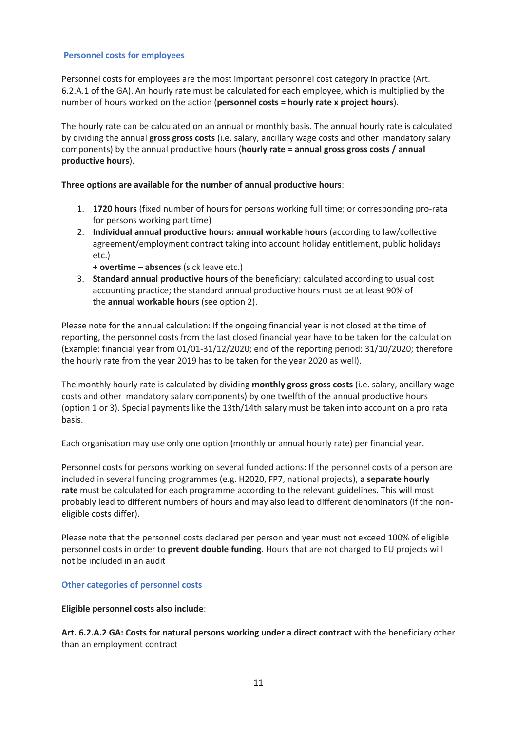# **Personnel costs for employees**

Personnel costs for employees are the most important personnel cost category in practice (Art. 6.2.A.1 of the GA). An hourly rate must be calculated for each employee, which is multiplied by the number of hours worked on the action (**personnel costs = hourly rate x project hours**).

The hourly rate can be calculated on an annual or monthly basis. The annual hourly rate is calculated by dividing the annual **gross gross costs** (i.e. salary, ancillary wage costs and other mandatory salary components) by the annual productive hours (**hourly rate = annual gross gross costs / annual productive hours**).

# **Three options are available for the number of annual productive hours**:

- 1. **1720 hours** (fixed number of hours for persons working full time; or corresponding pro-rata for persons working part time)
- 2. **Individual annual productive hours: annual workable hours** (according to law/collective agreement/employment contract taking into account holiday entitlement, public holidays etc.)
	- **+ overtime – absences** (sick leave etc.)
- 3. **Standard annual productive hours** of the beneficiary: calculated according to usual cost accounting practice; the standard annual productive hours must be at least 90% of the **annual workable hours** (see option 2).

Please note for the annual calculation: If the ongoing financial year is not closed at the time of reporting, the personnel costs from the last closed financial year have to be taken for the calculation (Example: financial year from 01/01-31/12/2020; end of the reporting period: 31/10/2020; therefore the hourly rate from the year 2019 has to be taken for the year 2020 as well).

The monthly hourly rate is calculated by dividing **monthly gross gross costs** (i.e. salary, ancillary wage costs and other mandatory salary components) by one twelfth of the annual productive hours (option 1 or 3). Special payments like the 13th/14th salary must be taken into account on a pro rata basis.

Each organisation may use only one option (monthly or annual hourly rate) per financial year.

Personnel costs for persons working on several funded actions: If the personnel costs of a person are included in several funding programmes (e.g. H2020, FP7, national projects), **a separate hourly rate** must be calculated for each programme according to the relevant guidelines. This will most probably lead to different numbers of hours and may also lead to different denominators (if the noneligible costs differ).

Please note that the personnel costs declared per person and year must not exceed 100% of eligible personnel costs in order to **prevent double funding**. Hours that are not charged to EU projects will not be included in an audit

#### **Other categories of personnel costs**

**Eligible personnel costs also include**:

**Art. 6.2.A.2 GA: Costs for natural persons working under a direct contract** with the beneficiary other than an employment contract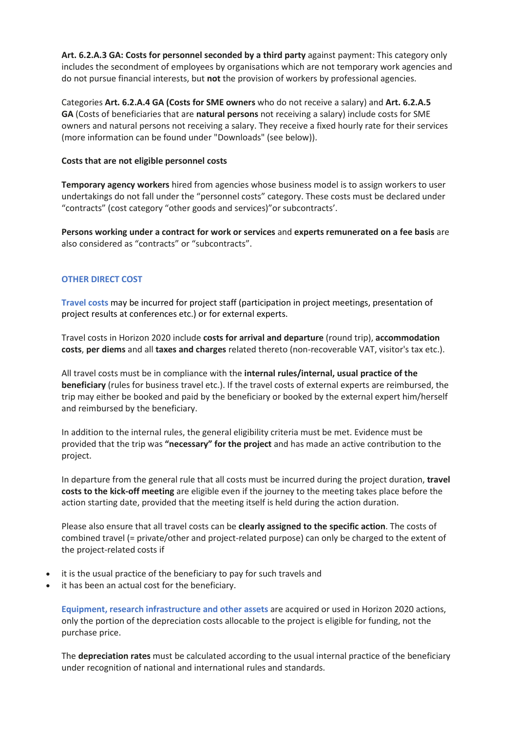**Art. 6.2.A.3 GA: Costs for personnel seconded by a third party** against payment: This category only includes the secondment of employees by organisations which are not temporary work agencies and do not pursue financial interests, but **not** the provision of workers by professional agencies.

Categories **Art. 6.2.A.4 GA (Costs for SME owners** who do not receive a salary) and **Art. 6.2.A.5 GA** (Costs of beneficiaries that are **natural persons** not receiving a salary) include costs for SME owners and natural persons not receiving a salary. They receive a fixed hourly rate for their services (more information can be found under "Downloads" (see below)).

#### **Costs that are not eligible personnel costs**

**Temporary agency workers** hired from agencies whose business model is to assign workers to user undertakings do not fall under the "personnel costs" category. These costs must be declared under "contracts" (cost category "other goods and services)"or subcontracts'.

**Persons working under a contract for work or services** and **experts remunerated on a fee basis** are also considered as "contracts" or "subcontracts".

# **OTHER DIRECT COST**

**Travel costs** may be incurred for project staff (participation in project meetings, presentation of project results at conferences etc.) or for external experts.

Travel costs in Horizon 2020 include **costs for arrival and departure** (round trip), **accommodation costs**, **per diems** and all **taxes and charges** related thereto (non-recoverable VAT, visitor's tax etc.).

All travel costs must be in compliance with the **internal rules/internal, usual practice of the beneficiary** (rules for business travel etc.). If the travel costs of external experts are reimbursed, the trip may either be booked and paid by the beneficiary or booked by the external expert him/herself and reimbursed by the beneficiary.

In addition to the internal rules, the general eligibility criteria must be met. Evidence must be provided that the trip was **"necessary" for the project** and has made an active contribution to the project.

In departure from the general rule that all costs must be incurred during the project duration, **travel costs to the kick-off meeting** are eligible even if the journey to the meeting takes place before the action starting date, provided that the meeting itself is held during the action duration.

Please also ensure that all travel costs can be **clearly assigned to the specific action**. The costs of combined travel (= private/other and project-related purpose) can only be charged to the extent of the project-related costs if

- it is the usual practice of the beneficiary to pay for such travels and
- it has been an actual cost for the beneficiary.

**Equipment, research infrastructure and other assets** are acquired or used in Horizon 2020 actions, only the portion of the depreciation costs allocable to the project is eligible for funding, not the purchase price.

The **depreciation rates** must be calculated according to the usual internal practice of the beneficiary under recognition of national and international rules and standards.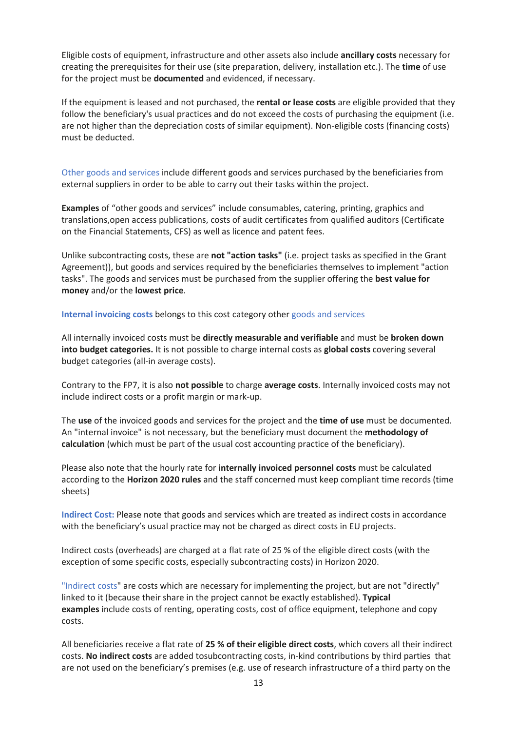Eligible costs of equipment, infrastructure and other assets also include **ancillary costs** necessary for creating the prerequisites for their use (site preparation, delivery, installation etc.). The **time** of use for the project must be **documented** and evidenced, if necessary.

If the equipment is leased and not purchased, the **rental or lease costs** are eligible provided that they follow the beneficiary's usual practices and do not exceed the costs of purchasing the equipment (i.e. are not higher than the depreciation costs of similar equipment). Non-eligible costs (financing costs) must be deducted.

Other goods and services include different goods and services purchased by the beneficiaries from external suppliers in order to be able to carry out their tasks within the project.

**Examples** of "other goods and services" include consumables, catering, printing, graphics and translations,open access publications, costs of audit certificates from qualified auditors (Certificate on the Financial Statements, CFS) as well as licence and patent fees.

Unlike subcontracting costs, these are **not "action tasks"** (i.e. project tasks as specified in the Grant Agreement)), but goods and services required by the beneficiaries themselves to implement "action tasks". The goods and services must be purchased from the supplier offering the **best value for money** and/or the **lowest price**.

**Internal invoicing costs** belongs to this cost category other goods and services

All internally invoiced costs must be **directly measurable and verifiable** and must be **broken down into budget categories.** It is not possible to charge internal costs as **global costs** covering several budget categories (all-in average costs).

Contrary to the FP7, it is also **not possible** to charge **average costs**. Internally invoiced costs may not include indirect costs or a profit margin or mark-up.

The **use** of the invoiced goods and services for the project and the **time of use** must be documented. An "internal invoice" is not necessary, but the beneficiary must document the **methodology of calculation** (which must be part of the usual cost accounting practice of the beneficiary).

Please also note that the hourly rate for **internally invoiced personnel costs** must be calculated according to the **Horizon 2020 rules** and the staff concerned must keep compliant time records (time sheets)

**Indirect Cost:** Please note that goods and services which are treated as indirect costs in accordance with the beneficiary's usual practice may not be charged as direct costs in EU projects.

Indirect costs (overheads) are charged at a flat rate of 25 % of the eligible direct costs (with the exception of some specific costs, especially subcontracting costs) in Horizon 2020.

"Indirect costs" are costs which are necessary for implementing the project, but are not "directly" linked to it (because their share in the project cannot be exactly established). **Typical examples** include costs of renting, operating costs, cost of office equipment, telephone and copy costs.

All beneficiaries receive a flat rate of **25 % of their eligible direct costs**, which covers all their indirect costs. **No indirect costs** are added tosubcontracting costs, in-kind contributions by third parties that are not used on the beneficiary's premises (e.g. use of research infrastructure of a third party on the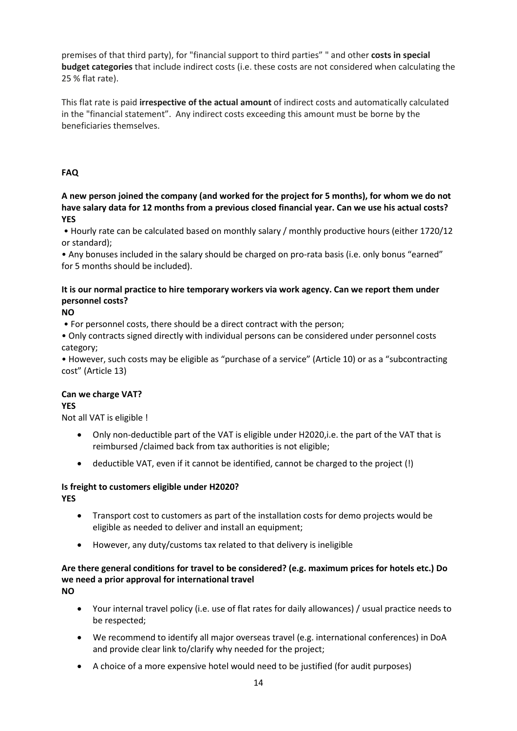premises of that third party), for "financial support to third parties" " and other **costs in special budget categories** that include indirect costs (i.e. these costs are not considered when calculating the 25 % flat rate).

This flat rate is paid **irrespective of the actual amount** of indirect costs and automatically calculated in the "financial statement". Any indirect costs exceeding this amount must be borne by the beneficiaries themselves.

# **FAQ**

**A new person joined the company (and worked for the project for 5 months), for whom we do not have salary data for 12 months from a previous closed financial year. Can we use his actual costs? YES**

• Hourly rate can be calculated based on monthly salary / monthly productive hours (either 1720/12 or standard);

• Any bonuses included in the salary should be charged on pro-rata basis (i.e. only bonus "earned" for 5 months should be included).

# **It is our normal practice to hire temporary workers via work agency. Can we report them under personnel costs?**

**NO**

• For personnel costs, there should be a direct contract with the person;

• Only contracts signed directly with individual persons can be considered under personnel costs category;

• However, such costs may be eligible as "purchase of a service" (Article 10) or as a "subcontracting cost" (Article 13)

# **Can we charge VAT?**

# **YES**

Not all VAT is eligible !

- Only non-deductible part of the VAT is eligible under H2020, i.e. the part of the VAT that is reimbursed /claimed back from tax authorities is not eligible;
- deductible VAT, even if it cannot be identified, cannot be charged to the project (!)

# **Is freight to customers eligible under H2020?**

**YES**

- Transport cost to customers as part of the installation costs for demo projects would be eligible as needed to deliver and install an equipment;
- However, any duty/customs tax related to that delivery is ineligible

# **Are there general conditions for travel to be considered? (e.g. maximum prices for hotels etc.) Do we need a prior approval for international travel**

**NO**

- Your internal travel policy (i.e. use of flat rates for daily allowances) / usual practice needs to be respected;
- We recommend to identify all major overseas travel (e.g. international conferences) in DoA and provide clear link to/clarify why needed for the project;
- A choice of a more expensive hotel would need to be justified (for audit purposes)